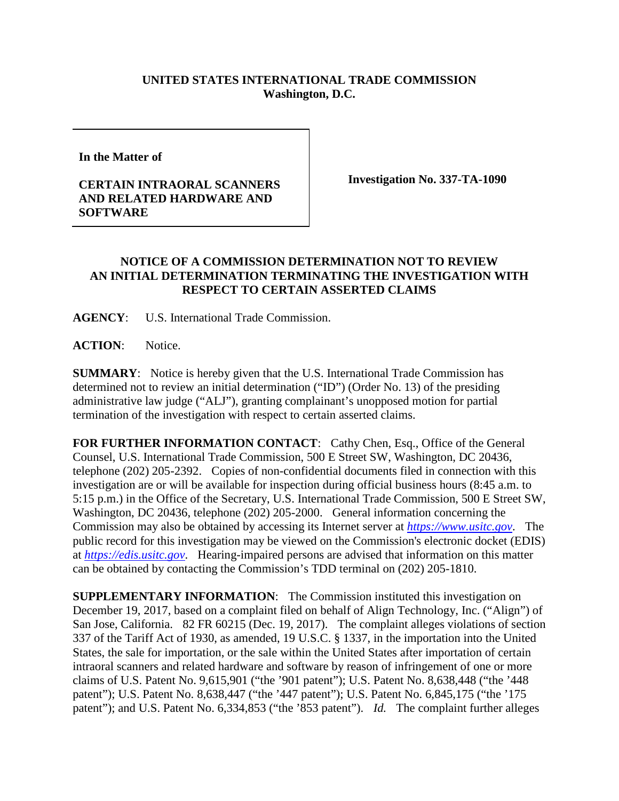## **UNITED STATES INTERNATIONAL TRADE COMMISSION Washington, D.C.**

**In the Matter of** 

## **CERTAIN INTRAORAL SCANNERS AND RELATED HARDWARE AND SOFTWARE**

**Investigation No. 337-TA-1090**

## **NOTICE OF A COMMISSION DETERMINATION NOT TO REVIEW AN INITIAL DETERMINATION TERMINATING THE INVESTIGATION WITH RESPECT TO CERTAIN ASSERTED CLAIMS**

**AGENCY**: U.S. International Trade Commission.

ACTION: Notice.

**SUMMARY**: Notice is hereby given that the U.S. International Trade Commission has determined not to review an initial determination ("ID") (Order No. 13) of the presiding administrative law judge ("ALJ"), granting complainant's unopposed motion for partial termination of the investigation with respect to certain asserted claims.

FOR FURTHER INFORMATION CONTACT: Cathy Chen, Esq., Office of the General Counsel, U.S. International Trade Commission, 500 E Street SW, Washington, DC 20436, telephone (202) 205-2392. Copies of non-confidential documents filed in connection with this investigation are or will be available for inspection during official business hours (8:45 a.m. to 5:15 p.m.) in the Office of the Secretary, U.S. International Trade Commission, 500 E Street SW, Washington, DC 20436, telephone (202) 205-2000. General information concerning the Commission may also be obtained by accessing its Internet server at *[https://www.usitc.gov](https://www.usitc.gov/)*. The public record for this investigation may be viewed on the Commission's electronic docket (EDIS) at *[https://edis.usitc.gov](https://edis.usitc.gov/)*. Hearing-impaired persons are advised that information on this matter can be obtained by contacting the Commission's TDD terminal on (202) 205-1810.

**SUPPLEMENTARY INFORMATION:** The Commission instituted this investigation on December 19, 2017, based on a complaint filed on behalf of Align Technology, Inc. ("Align") of San Jose, California. 82 FR 60215 (Dec. 19, 2017). The complaint alleges violations of section 337 of the Tariff Act of 1930, as amended, 19 U.S.C. § 1337, in the importation into the United States, the sale for importation, or the sale within the United States after importation of certain intraoral scanners and related hardware and software by reason of infringement of one or more claims of U.S. Patent No. 9,615,901 ("the '901 patent"); U.S. Patent No. 8,638,448 ("the '448 patent"); U.S. Patent No. 8,638,447 ("the '447 patent"); U.S. Patent No. 6,845,175 ("the '175 patent"); and U.S. Patent No. 6,334,853 ("the '853 patent"). *Id.* The complaint further alleges